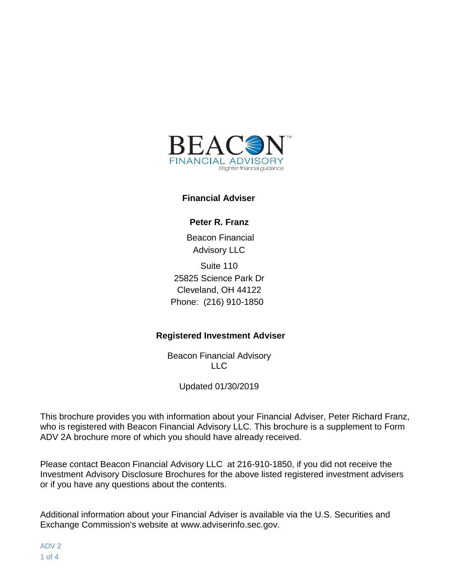

#### **Financial Adviser**

**Peter R. Franz**

Beacon Financial Advisory LLC Suite 110 25825 Science Park Dr Cleveland, OH 44122 Phone: (216) 910-1850

#### **Registered Investment Adviser**

Beacon Financial Advisory LLC

Updated 01/30/2019

This brochure provides you with information about your Financial Adviser, Peter Richard Franz, who is registered with Beacon Financial Advisory LLC. This brochure is a supplement to Form ADV 2A brochure more of which you should have already received.

Please contact Beacon Financial Advisory LLC at 216-910-1850, if you did not receive the Investment Advisory Disclosure Brochures for the above listed registered investment advisers or if you have any questions about the contents.

Additional information about your Financial Adviser is available via the U.S. Securities and Exchange Commission's website at [www.adviserinfo.sec.gov.](http://www.adviserinfo.sec.gov/)

ADV 2 1 of 4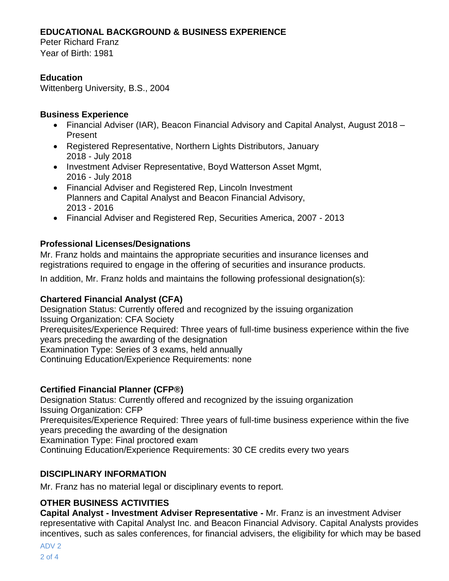# **EDUCATIONAL BACKGROUND & BUSINESS EXPERIENCE**

Peter Richard Franz Year of Birth: 1981

# **Education**

Wittenberg University, B.S., 2004

#### **Business Experience**

- Financial Adviser (IAR), Beacon Financial Advisory and Capital Analyst, August 2018 Present
- Registered Representative, Northern Lights Distributors, January 2018 - July 2018
- Investment Adviser Representative, Boyd Watterson Asset Mgmt, 2016 - July 2018
- Financial Adviser and Registered Rep, Lincoln Investment Planners and Capital Analyst and Beacon Financial Advisory, 2013 - 2016
- Financial Adviser and Registered Rep, Securities America, 2007 2013

## **Professional Licenses/Designations**

Mr. Franz holds and maintains the appropriate securities and insurance licenses and registrations required to engage in the offering of securities and insurance products.

In addition, Mr. Franz holds and maintains the following professional designation(s):

## **Chartered Financial Analyst (CFA)**

Designation Status: Currently offered and recognized by the issuing organization Issuing Organization: CFA Society Prerequisites/Experience Required: Three years of full-time business experience within the five years preceding the awarding of the designation

Examination Type: Series of 3 exams, held annually

Continuing Education/Experience Requirements: none

## **Certified Financial Planner (CFP®)**

Designation Status: Currently offered and recognized by the issuing organization Issuing Organization: CFP

Prerequisites/Experience Required: Three years of full-time business experience within the five years preceding the awarding of the designation

Examination Type: Final proctored exam

Continuing Education/Experience Requirements: 30 CE credits every two years

## **DISCIPLINARY INFORMATION**

Mr. Franz has no material legal or disciplinary events to report.

# **OTHER BUSINESS ACTIVITIES**

**Capital Analyst - Investment Adviser Representative -** Mr. Franz is an investment Adviser representative with Capital Analyst Inc. and Beacon Financial Advisory. Capital Analysts provides incentives, such as sales conferences, for financial advisers, the eligibility for which may be based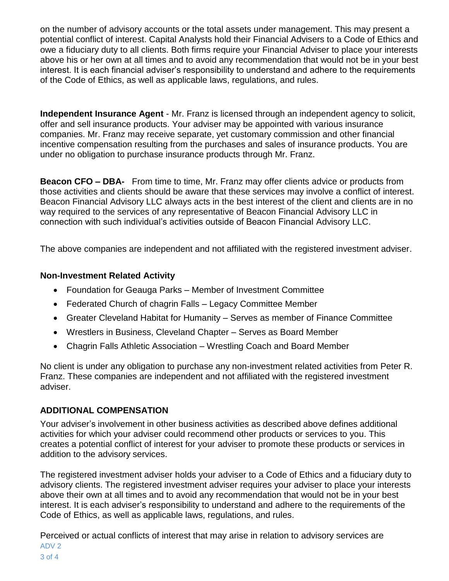on the number of advisory accounts or the total assets under management. This may present a potential conflict of interest. Capital Analysts hold their Financial Advisers to a Code of Ethics and owe a fiduciary duty to all clients. Both firms require your Financial Adviser to place your interests above his or her own at all times and to avoid any recommendation that would not be in your best interest. It is each financial adviser's responsibility to understand and adhere to the requirements of the Code of Ethics, as well as applicable laws, regulations, and rules.

**Independent Insurance Agent** - Mr. Franz is licensed through an independent agency to solicit, offer and sell insurance products. Your adviser may be appointed with various insurance companies. Mr. Franz may receive separate, yet customary commission and other financial incentive compensation resulting from the purchases and sales of insurance products. You are under no obligation to purchase insurance products through Mr. Franz.

**Beacon CFO – DBA-** From time to time, Mr. Franz may offer clients advice or products from those activities and clients should be aware that these services may involve a conflict of interest. Beacon Financial Advisory LLC always acts in the best interest of the client and clients are in no way required to the services of any representative of Beacon Financial Advisory LLC in connection with such individual's activities outside of Beacon Financial Advisory LLC.

The above companies are independent and not affiliated with the registered investment adviser.

#### **Non-Investment Related Activity**

- Foundation for Geauga Parks Member of Investment Committee
- Federated Church of chagrin Falls Legacy Committee Member
- Greater Cleveland Habitat for Humanity Serves as member of Finance Committee
- Wrestlers in Business, Cleveland Chapter Serves as Board Member
- Chagrin Falls Athletic Association Wrestling Coach and Board Member

No client is under any obligation to purchase any non-investment related activities from Peter R. Franz. These companies are independent and not affiliated with the registered investment adviser.

## **ADDITIONAL COMPENSATION**

Your adviser's involvement in other business activities as described above defines additional activities for which your adviser could recommend other products or services to you. This creates a potential conflict of interest for your adviser to promote these products or services in addition to the advisory services.

The registered investment adviser holds your adviser to a Code of Ethics and a fiduciary duty to advisory clients. The registered investment adviser requires your adviser to place your interests above their own at all times and to avoid any recommendation that would not be in your best interest. It is each adviser's responsibility to understand and adhere to the requirements of the Code of Ethics, as well as applicable laws, regulations, and rules.

ADV 2 3 of 4 Perceived or actual conflicts of interest that may arise in relation to advisory services are